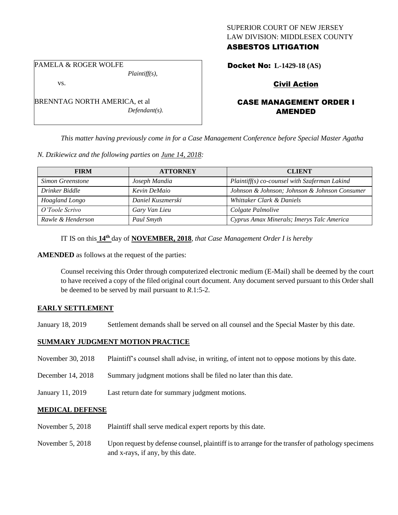## SUPERIOR COURT OF NEW JERSEY LAW DIVISION: MIDDLESEX COUNTY ASBESTOS LITIGATION

PAMELA & ROGER WOLFE

*Plaintiff(s),*

vs.

BRENNTAG NORTH AMERICA, et al *Defendant(s).*

# Docket No: **L-1429-18 (AS)**

## Civil Action

## CASE MANAGEMENT ORDER I AMENDED

*This matter having previously come in for a Case Management Conference before Special Master Agatha* 

*N. Dzikiewicz and the following parties on June 14, 2018:*

| <b>FIRM</b>       | <b>ATTORNEY</b>   | <b>CLIENT</b>                                 |
|-------------------|-------------------|-----------------------------------------------|
| Simon Greenstone  | Joseph Mandia     | Plaintiff(s) co-counsel with Szaferman Lakind |
| Drinker Biddle    | Kevin DeMaio      | Johnson & Johnson; Johnson & Johnson Consumer |
| Hoagland Longo    | Daniel Kuszmerski | Whittaker Clark & Daniels                     |
| O'Toole Scrivo    | Gary Van Lieu     | Colgate Palmolive                             |
| Rawle & Henderson | Paul Smyth        | Cyprus Amax Minerals; Imerys Talc America     |

IT IS on this  $14^{\text{th}}$  day of **NOVEMBER, 2018**, *that Case Management Order I is hereby* 

**AMENDED** as follows at the request of the parties:

Counsel receiving this Order through computerized electronic medium (E-Mail) shall be deemed by the court to have received a copy of the filed original court document. Any document served pursuant to this Order shall be deemed to be served by mail pursuant to *R*.1:5-2.

## **EARLY SETTLEMENT**

January 18, 2019 Settlement demands shall be served on all counsel and the Special Master by this date.

## **SUMMARY JUDGMENT MOTION PRACTICE**

- November 30, 2018 Plaintiff's counsel shall advise, in writing, of intent not to oppose motions by this date.
- December 14, 2018 Summary judgment motions shall be filed no later than this date.
- January 11, 2019 Last return date for summary judgment motions.

## **MEDICAL DEFENSE**

- November 5, 2018 Plaintiff shall serve medical expert reports by this date.
- November 5, 2018 Upon request by defense counsel, plaintiff is to arrange for the transfer of pathology specimens and x-rays, if any, by this date.